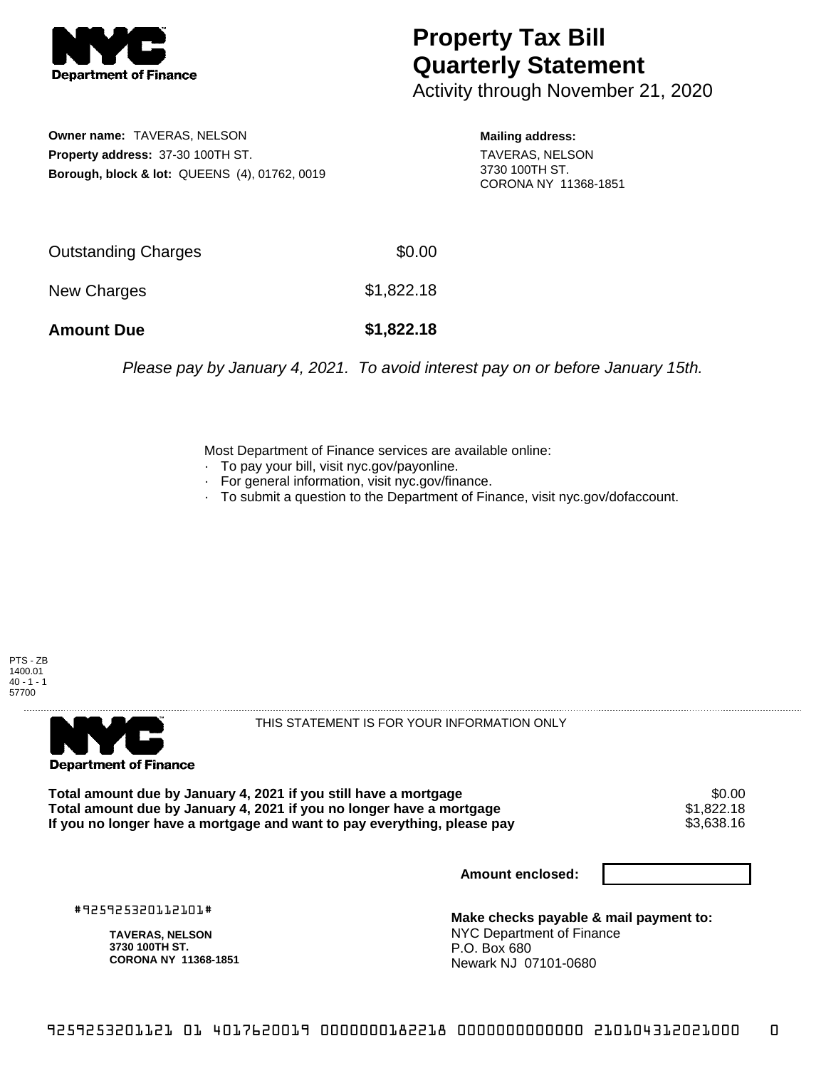

## **Property Tax Bill Quarterly Statement**

Activity through November 21, 2020

**Owner name:** TAVERAS, NELSON **Property address:** 37-30 100TH ST. **Borough, block & lot:** QUEENS (4), 01762, 0019 **Mailing address:**

TAVERAS, NELSON 3730 100TH ST. CORONA NY 11368-1851

| <b>Amount Due</b>   | \$1,822.18 |
|---------------------|------------|
| New Charges         | \$1,822.18 |
| Outstanding Charges | \$0.00     |

Please pay by January 4, 2021. To avoid interest pay on or before January 15th.

Most Department of Finance services are available online:

- · To pay your bill, visit nyc.gov/payonline.
- For general information, visit nyc.gov/finance.
- · To submit a question to the Department of Finance, visit nyc.gov/dofaccount.





THIS STATEMENT IS FOR YOUR INFORMATION ONLY

Total amount due by January 4, 2021 if you still have a mortgage \$0.00<br>Total amount due by January 4, 2021 if you no longer have a mortgage \$1.822.18 **Total amount due by January 4, 2021 if you no longer have a mortgage**  $$1,822.18$$ **<br>If you no longer have a mortgage and want to pay everything, please pay**  $$3,638.16$$ If you no longer have a mortgage and want to pay everything, please pay

**Amount enclosed:**

#925925320112101#

**TAVERAS, NELSON 3730 100TH ST. CORONA NY 11368-1851**

**Make checks payable & mail payment to:** NYC Department of Finance P.O. Box 680 Newark NJ 07101-0680